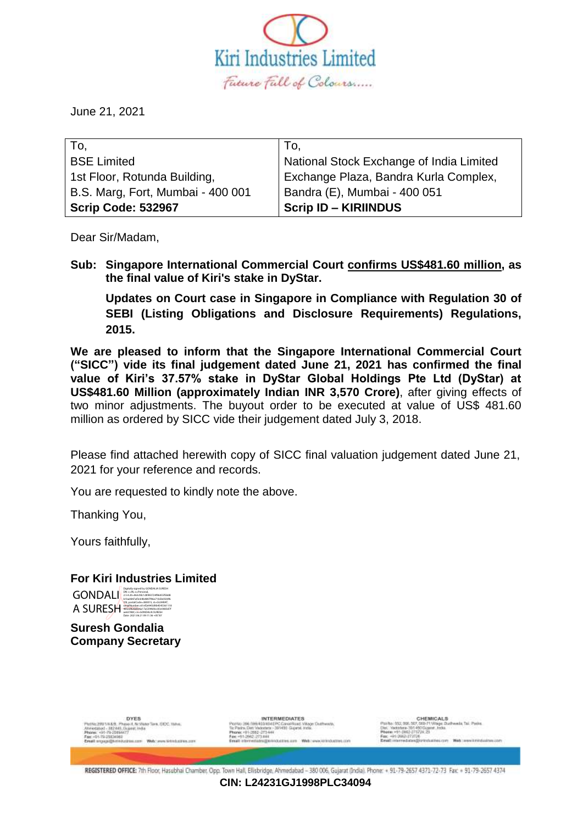

June 21, 2021

| To,                               | To.                                      |
|-----------------------------------|------------------------------------------|
| <b>BSE Limited</b>                | National Stock Exchange of India Limited |
| 1st Floor, Rotunda Building,      | Exchange Plaza, Bandra Kurla Complex,    |
| B.S. Marg, Fort, Mumbai - 400 001 | Bandra (E), Mumbai - 400 051             |
| <b>Scrip Code: 532967</b>         | <b>Scrip ID - KIRIINDUS</b>              |

Dear Sir/Madam,

**Sub: Singapore International Commercial Court confirms US\$481.60 million, as the final value of Kiri's stake in DyStar.**

**Updates on Court case in Singapore in Compliance with Regulation 30 of SEBI (Listing Obligations and Disclosure Requirements) Regulations, 2015.**

**We are pleased to inform that the Singapore International Commercial Court ("SICC") vide its final judgement dated June 21, 2021 has confirmed the final value of Kiri's 37.57% stake in DyStar Global Holdings Pte Ltd (DyStar) at US\$481.60 Million (approximately Indian INR 3,570 Crore)**, after giving effects of two minor adjustments. The buyout order to be executed at value of US\$ 481.60 million as ordered by SICC vide their judgement dated July 3, 2018.

Please find attached herewith copy of SICC final valuation judgement dated June 21, 2021 for your reference and records.

You are requested to kindly note the above.

Thanking You,

Yours faithfully,

# **For Kiri Industries Limited**



**Suresh Gondalia Company Secretary**



**INTERMEDIATES** 

CHEMICALS<br>7,550-71 Village Durhweds, Tail Posite<br>450 Gujarat, India. **Mich course institutions and** 

REGISTERED OFFICE: 7th Floor, Hasubhai Chamber, Opp. Town Hall, Elisbridge, Ahmedabad - 380 006, Gujarat (India). Phone: + 91-79-2657 437-72-73 Fax: + 91-79-2657 437-

**CIN: L24231GJ1998PLC34094**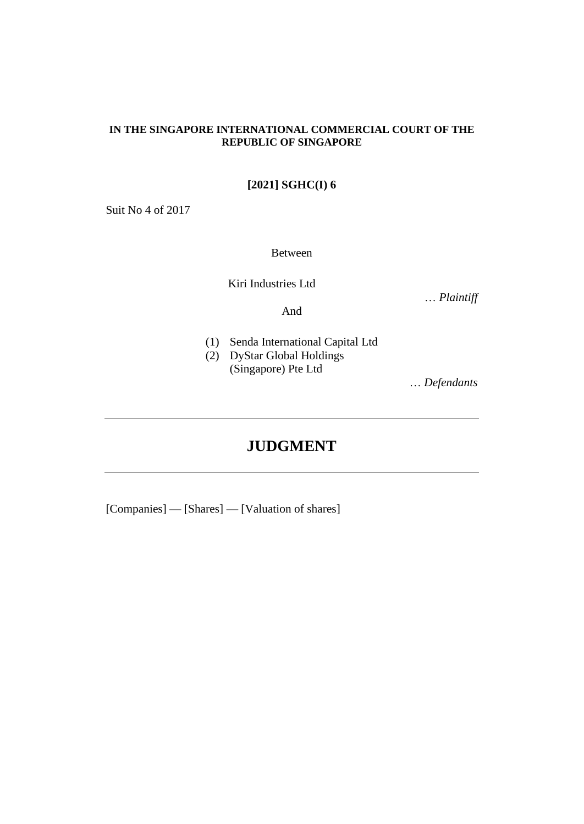### **IN THE SINGAPORE INTERNATIONAL COMMERCIAL COURT OF THE REPUBLIC OF SINGAPORE**

# **[2021] SGHC(I) 6**

Suit No 4 of 2017

Between

Kiri Industries Ltd

… *Plaintiff*

And

- 
- (1) Senda International Capital Ltd
- (2) DyStar Global Holdings (Singapore) Pte Ltd

… *Defendants*

# **JUDGMENT**

[Companies] — [Shares] — [Valuation of shares]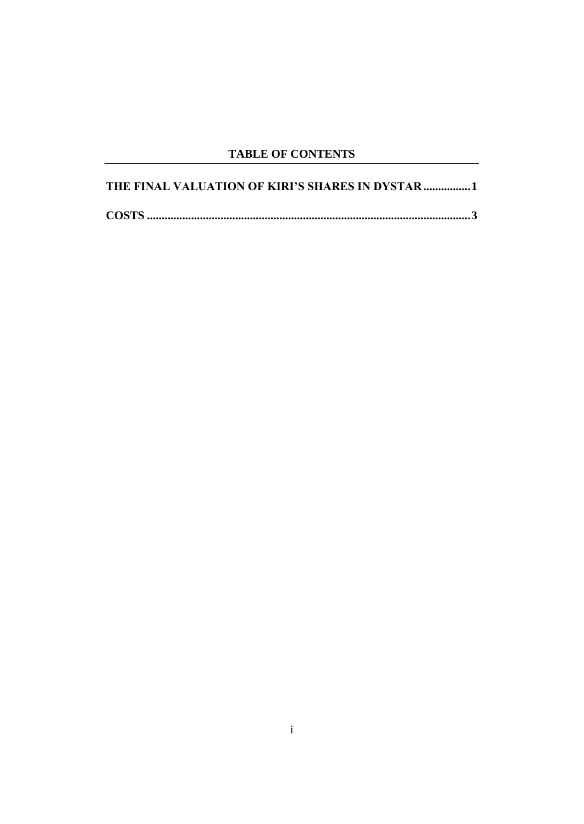# **TABLE OF CONTENTS**

| THE FINAL VALUATION OF KIRI'S SHARES IN DYSTAR 1 |
|--------------------------------------------------|
|                                                  |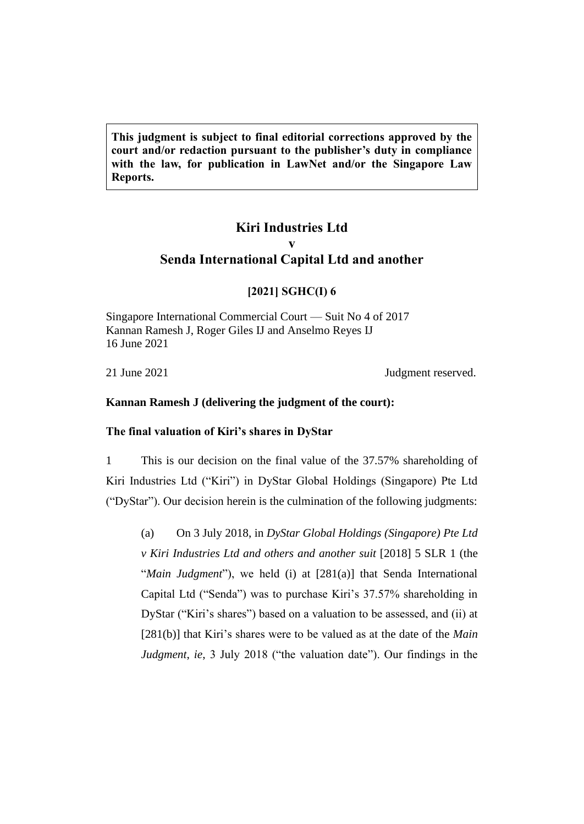**This judgment is subject to final editorial corrections approved by the court and/or redaction pursuant to the publisher's duty in compliance with the law, for publication in LawNet and/or the Singapore Law Reports.**

# **Kiri Industries Ltd v Senda International Capital Ltd and another**

### **[2021] SGHC(I) 6**

Singapore International Commercial Court — Suit No 4 of 2017 Kannan Ramesh J, Roger Giles IJ and Anselmo Reyes IJ 16 June 2021

21 June 2021 **July 2021** 

# **Kannan Ramesh J (delivering the judgment of the court):**

### **The final valuation of Kiri's shares in DyStar**

1 This is our decision on the final value of the 37.57% shareholding of Kiri Industries Ltd ("Kiri") in DyStar Global Holdings (Singapore) Pte Ltd ("DyStar"). Our decision herein is the culmination of the following judgments:

(a) On 3 July 2018, in *DyStar Global Holdings (Singapore) Pte Ltd v Kiri Industries Ltd and others and another suit* [2018] 5 SLR 1 (the "*Main Judgment*"), we held (i) at [281(a)] that Senda International Capital Ltd ("Senda") was to purchase Kiri's 37.57% shareholding in DyStar ("Kiri's shares") based on a valuation to be assessed, and (ii) at [281(b)] that Kiri's shares were to be valued as at the date of the *Main Judgment*, *ie*, 3 July 2018 ("the valuation date"). Our findings in the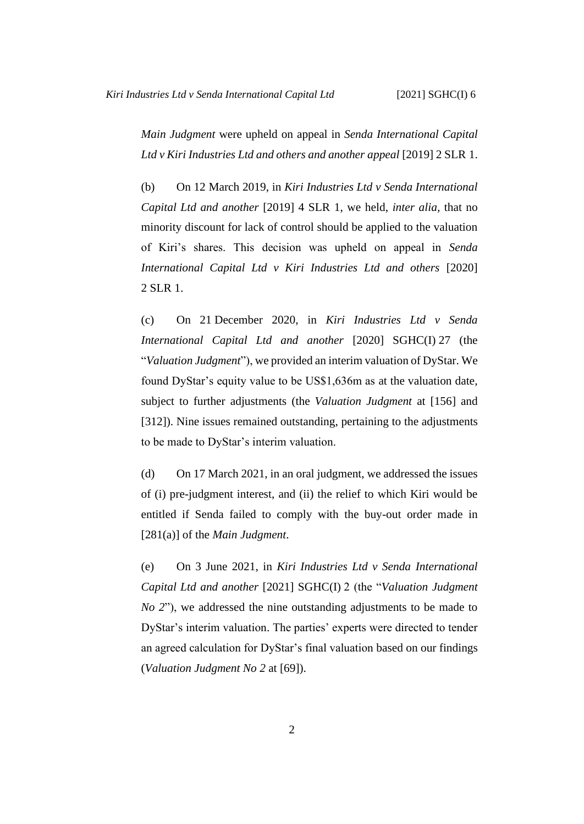*Main Judgment* were upheld on appeal in *Senda International Capital Ltd v Kiri Industries Ltd and others and another appeal* [2019] 2 SLR 1.

(b) On 12 March 2019, in *Kiri Industries Ltd v Senda International Capital Ltd and another* [2019] 4 SLR 1, we held, *inter alia,* that no minority discount for lack of control should be applied to the valuation of Kiri's shares. This decision was upheld on appeal in *Senda International Capital Ltd v Kiri Industries Ltd and others* [2020] 2 SLR 1.

(c) On 21 December 2020, in *Kiri Industries Ltd v Senda International Capital Ltd and another* [2020] SGHC(I) 27 (the "*Valuation Judgment*"), we provided an interim valuation of DyStar. We found DyStar's equity value to be US\$1,636m as at the valuation date, subject to further adjustments (the *Valuation Judgment* at [156] and [312]). Nine issues remained outstanding, pertaining to the adjustments to be made to DyStar's interim valuation.

(d) On 17 March 2021, in an oral judgment, we addressed the issues of (i) pre-judgment interest, and (ii) the relief to which Kiri would be entitled if Senda failed to comply with the buy-out order made in [281(a)] of the *Main Judgment*.

(e) On 3 June 2021, in *Kiri Industries Ltd v Senda International Capital Ltd and another* [2021] SGHC(I) 2 (the "*Valuation Judgment No 2*"), we addressed the nine outstanding adjustments to be made to DyStar's interim valuation. The parties' experts were directed to tender an agreed calculation for DyStar's final valuation based on our findings (*Valuation Judgment No 2* at [69]).